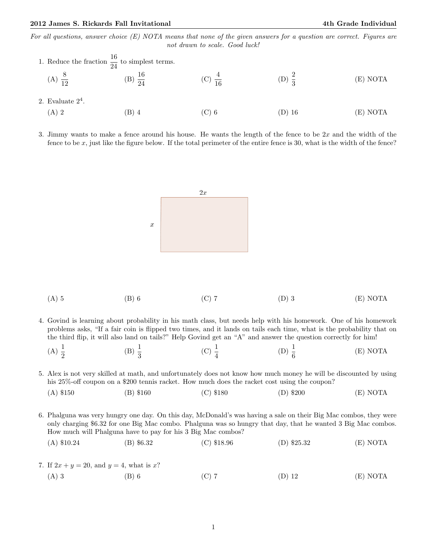For all questions, answer choice  $(E)$  NOTA means that none of the given answers for a question are correct. Figures are not drawn to scale. Good luck!

|                        | 1. Reduce the fraction $\frac{16}{24}$ to simplest terms. |    |      |          |
|------------------------|-----------------------------------------------------------|----|------|----------|
| (A)<br>$\overline{10}$ | $\overline{24}$                                           | 16 | : ש' | (E) NOTA |
| 2. Evaluate $2^4$ .    |                                                           |    |      |          |

- (A) 2 (B) 4 (C) 6 (D) 16 (E) NOTA
- 3. Jimmy wants to make a fence around his house. He wants the length of the fence to be  $2x$  and the width of the fence to be x, just like the figure below. If the total perimeter of the entire fence is 30, what is the width of the fence?



| $(A)$ 5 | $(B)$ 6 | $(C)$ 7 | $(D)$ 3 | (E) NOTA |
|---------|---------|---------|---------|----------|
|---------|---------|---------|---------|----------|

- 4. Govind is learning about probability in his math class, but needs help with his homework. One of his homework problems asks, "If a fair coin is flipped two times, and it lands on tails each time, what is the probability that on the third flip, it will also land on tails?" Help Govind get an "A" and answer the question correctly for him!
	- (A)  $\frac{1}{2}$ (B)  $\frac{1}{3}$ (C)  $\frac{1}{4}$ (D)  $\frac{1}{6}$ (E) NOTA

5. Alex is not very skilled at math, and unfortunately does not know how much money he will be discounted by using his 25%-off coupon on a \$200 tennis racket. How much does the racket cost using the coupon?

|  | $(A)$ \$150 | $(B)$ \$160 | $(C)$ \$180 | $(D)$ \$200 | (E) NOTA |
|--|-------------|-------------|-------------|-------------|----------|
|--|-------------|-------------|-------------|-------------|----------|

6. Phalguna was very hungry one day. On this day, McDonald's was having a sale on their Big Mac combos, they were only charging \$6.32 for one Big Mac combo. Phalguna was so hungry that day, that he wanted 3 Big Mac combos. How much will Phalguna have to pay for his 3 Big Mac combos?

(A) \$10.24 (B) \$6.32 (C) \$18.96 (D) \$25.32 (E) NOTA

7. If  $2x + y = 20$ , and  $y = 4$ , what is x? (A) 3 (B) 6 (C) 7 (D) 12 (E) NOTA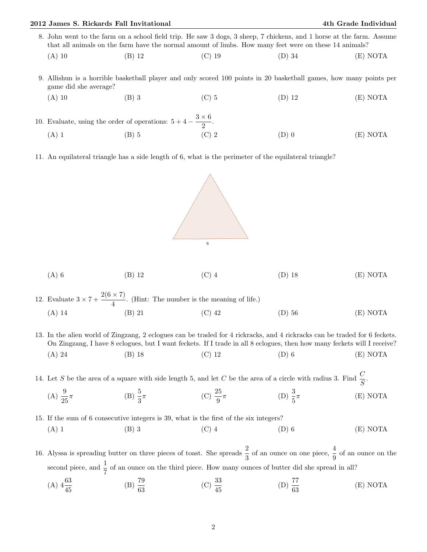## 2012 James S. Rickards Fall Invitational 4th Grade Individual

- 8. John went to the farm on a school field trip. He saw 3 dogs, 3 sheep, 7 chickens, and 1 horse at the farm. Assume that all animals on the farm have the normal amount of limbs. How many feet were on these 14 animals?
	- (A) 10 (B) 12 (C) 19 (D) 34 (E) NOTA
- 9. Allishun is a horrible basketball player and only scored 100 points in 20 basketball games, how many points per game did she average?
- (A) 10 (B) 3 (C) 5 (D) 12 (E) NOTA
- 10. Evaluate, using the order of operations:  $5+4-\frac{3\times6}{8}$  $\frac{1}{2}$ . (A) 1 (B) 5 (C) 2 (D) 0 (E) NOTA
- 11. An equilateral triangle has a side length of 6, what is the perimeter of the equilateral triangle?



| $(A)$ 6 | $(B)$ 12 | $(C)$ 4 | $(D)$ 18 | (E) NOTA |
|---------|----------|---------|----------|----------|
|---------|----------|---------|----------|----------|

12. Evaluate  $3 \times 7 + \frac{2(6 \times 7)}{4}$  $\frac{1}{4}$ . (Hint: The number is the meaning of life.) (A) 14 (B) 21 (C) 42 (D) 56 (E) NOTA

13. In the alien world of Zingzang, 2 eclogues can be traded for 4 rickracks, and 4 rickracks can be traded for 6 feckets. On Zingzang, I have 8 eclogues, but I want feckets. If I trade in all 8 eclogues, then how many feckets will I receive? (A) 24 (B) 18 (C) 12 (D) 6 (E) NOTA

14. Let S be the area of a square with side length 5, and let C be the area of a circle with radius 3. Find  $\frac{C}{S}$ .

(A)  $\frac{9}{25}$  $\pi$  (B)  $\frac{5}{3}$  $\pi$  (C)  $\frac{25}{9}$  $\pi$  (D)  $\frac{3}{5}$ π (E) NOTA

15. If the sum of 6 consecutive integers is 39, what is the first of the six integers?

(A) 1 (B) 3 (C) 4 (D) 6 (E) NOTA

16. Alyssa is spreading butter on three pieces of toast. She spreads  $\frac{2}{3}$  of an ounce on one piece,  $\frac{4}{9}$  of an ounce on the second piece, and  $\frac{1}{7}$  of an ounce on the third piece. How many ounces of butter did she spread in all?

(A)  $4\frac{63}{45}$  $(B) \frac{79}{63}$  $(C) \frac{33}{45}$ (D)  $\frac{77}{63}$ (E) NOTA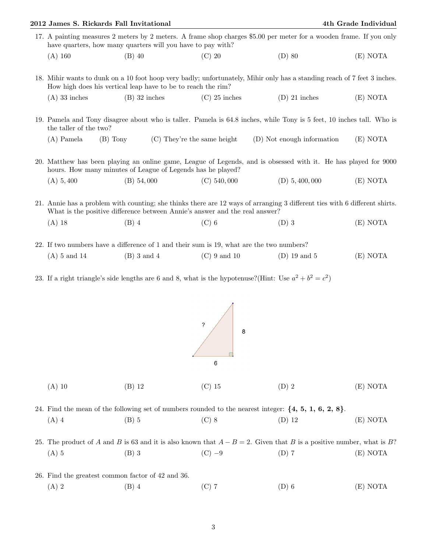|                                        | 2012 James S. Rickards Fall Invitational                     |                 |                                                                                              |                                                                                                                                                                                                                                                                        | 4th Grade Individual |
|----------------------------------------|--------------------------------------------------------------|-----------------|----------------------------------------------------------------------------------------------|------------------------------------------------------------------------------------------------------------------------------------------------------------------------------------------------------------------------------------------------------------------------|----------------------|
|                                        |                                                              |                 | have quarters, how many quarters will you have to pay with?                                  | 17. A painting measures 2 meters by 2 meters. A frame shop charges \$5.00 per meter for a wooden frame. If you only                                                                                                                                                    |                      |
| (A) 160                                | $(B)$ 40                                                     |                 | $(C)$ 20                                                                                     | $(D)$ 80                                                                                                                                                                                                                                                               | (E) NOTA             |
|                                        | How high does his vertical leap have to be to reach the rim? |                 |                                                                                              | 18. Mihir wants to dunk on a 10 foot hoop very badly; unfortunately, Mihir only has a standing reach of 7 feet 3 inches.                                                                                                                                               |                      |
| $(A)$ 33 inches                        |                                                              | $(B)$ 32 inches | $(C)$ 25 inches                                                                              | $(D)$ 21 inches                                                                                                                                                                                                                                                        | (E) NOTA             |
| the taller of the two?<br>$(A)$ Pamela | $(B)$ Tony                                                   |                 | $(C)$ They're the same height<br>hours. How many minutes of League of Legends has he played? | 19. Pamela and Tony disagree about who is taller. Pamela is 64.8 inches, while Tony is 5 feet, 10 inches tall. Who is<br>(D) Not enough information<br>20. Matthew has been playing an online game, League of Legends, and is obsessed with it. He has played for 9000 | (E) NOTA             |
| (A) 5,400                              | (B) 54,000                                                   |                 | $(C)$ 540,000                                                                                | $(D)$ 5, 400, 000                                                                                                                                                                                                                                                      | (E) NOTA             |
| $(A)$ 18                               | $(B)$ 4                                                      |                 | What is the positive difference between Annie's answer and the real answer?<br>$(C)$ 6       | 21. Annie has a problem with counting; she thinks there are 12 ways of arranging 3 different ties with 6 different shirts.<br>$(D)$ 3                                                                                                                                  | (E) NOTA             |
|                                        |                                                              |                 |                                                                                              |                                                                                                                                                                                                                                                                        |                      |
|                                        |                                                              |                 | 22. If two numbers have a difference of 1 and their sum is 19, what are the two numbers?     |                                                                                                                                                                                                                                                                        |                      |
| $(A)$ 5 and 14                         |                                                              | $(B)$ 3 and 4   | $(C)$ 9 and 10                                                                               | $(D)$ 19 and 5                                                                                                                                                                                                                                                         | (E) NOTA             |

23. If a right triangle's side lengths are 6 and 8, what is the hypotenuse?(Hint: Use  $a^2 + b^2 = c^2$ )



|         | 24. Find the mean of the following set of numbers rounded to the nearest integer: $\{4, 5, 1, 6, 2, 8\}$ . |         |          |          |
|---------|------------------------------------------------------------------------------------------------------------|---------|----------|----------|
| $(A)$ 4 | $(B)$ 5                                                                                                    | $(C)$ 8 | $(D)$ 12 | (E) NOTA |

25. The product of A and B is 63 and it is also known that  $A - B = 2$ . Given that B is a positive number, what is B? (A) 5 (B) 3 (C) −9 (D) 7 (E) NOTA

26. Find the greatest common factor of 42 and 36.

(A) 2 (B) 4 (C) 7 (D) 6 (E) NOTA